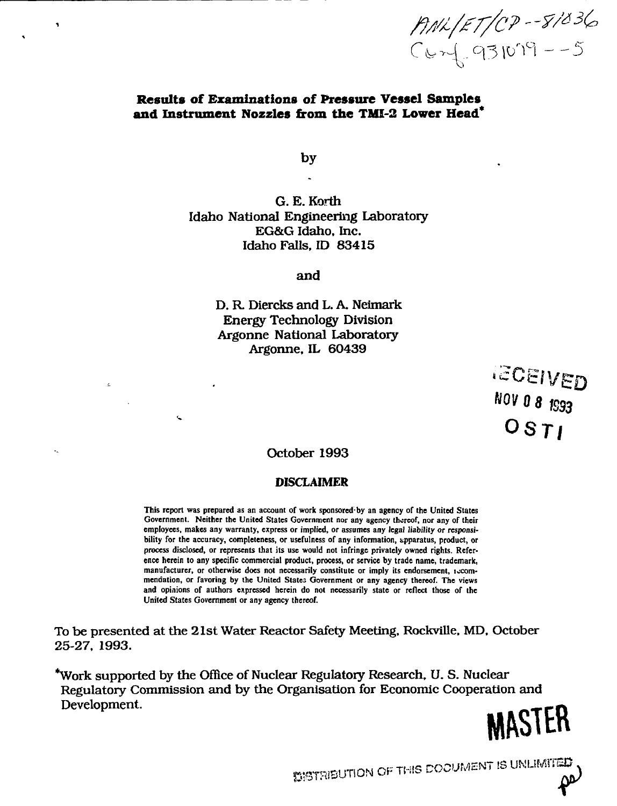ANL/ET/07--8/036<br>Conf. 931019--5

## **Results of Examinations of Pressure Vessel Samples and Instrument Nozzles from the TMI-2 Lower Head\***

by

G. E. Korth Idaho National Engineering Laboratory EG&G Idaho, Inc. Idaho Falls. ID 83415

and

D. R Diercks and L. A. Neimark Energy Technology Division Argonne National Laboratory Argonne, IL 60439

> **IECEIVED 0 8 JS93 OSTI**

October 1993

# DISCLAIMER

**This report was prepared as an account of work sponsored-by an agency of the United States Government. Neither the United States Government nor any agency thereof, nor any of their employees, makes any warranty, express or implied, or assumes any legal liability or responsibility for the accuracy, completeness, or usefulness of any information, apparatus, product, or process disclosed, or represents that its use would not infringe privately owned rights. Reference herein to any specific commercial product, process, or service by trade name, trademark,** manufacturer, or otherwise does not necessarily constitute or imply its endorsement, *iscom***mendation, or favoring by the United States Government or any agency thereof. The views and opinions of authors expressed herein do not necessarily state or reflect those of the United States Government or any agency thereof.**

To be presented at the 21st Water Reactor Safety Meeting, Rockville, MD, October 25-27, 1993.

\*Work supported by the Office of Nuclear Regulatory Research, U. S. Nuclear Regulatory Commission and by the Organisation for Economic Cooperation and Development.

**M&STER**

**DISTRIBUTION OF THIS DOCUMENT IS UNLIMITED.**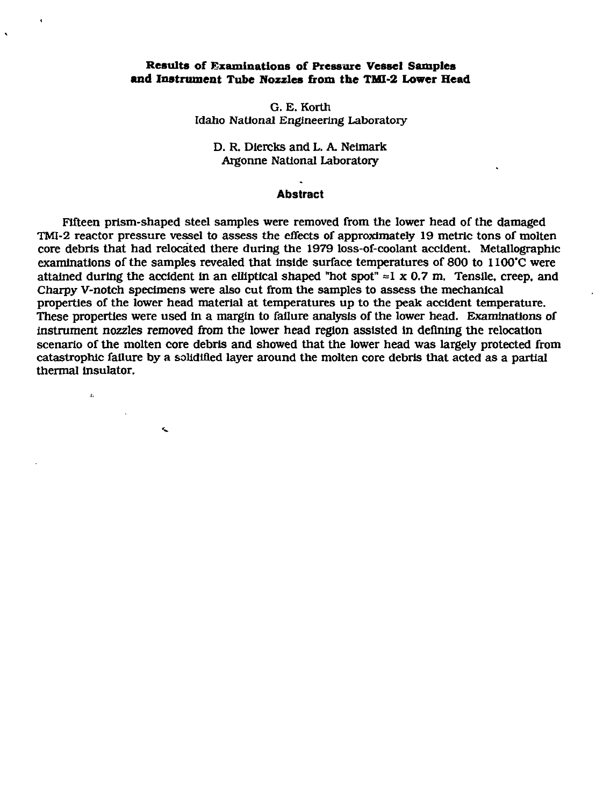## **Results of Examinations of Pressure Vessel Samples and Instrument Tube Nozzles from the TMI-2 Lower Head**

G. E. Korth Idaho National Engineering Laboratory

D. R. Dlercks and L. A. Neimark Argonne National Laboratory

#### **Abstract**

Fifteen prism-shaped steel samples were removed from the lower head of the damaged TMI-2 reactor pressure vessel to assess the effects of approximately 19 metric tons of molten core debris that had relocated there during the 1979 loss-of-coolant accident. Metallographic examinations of the samples revealed that Inside surface temperatures of 800 to 1100'C were attained during the accident in an elliptical shaped "hot spot"  $\approx$ 1 x 0.7 m. Tensile, creep, and Charpy V-notch specimens were also cut from the samples to assess the mechanical properties of the lower head material at temperatures up to the peak accident temperature. These properties were used In a margin to failure analysis of the lower head. Examinations of instrument nozzles removed from the lower head region assisted in defining the relocation scenario of the molten core debris and showed that the lower head was largely protected from catastrophic failure by a solidified layer around the molten core debris that acted as a partial thermal insulator.

 $\mathbf{A}$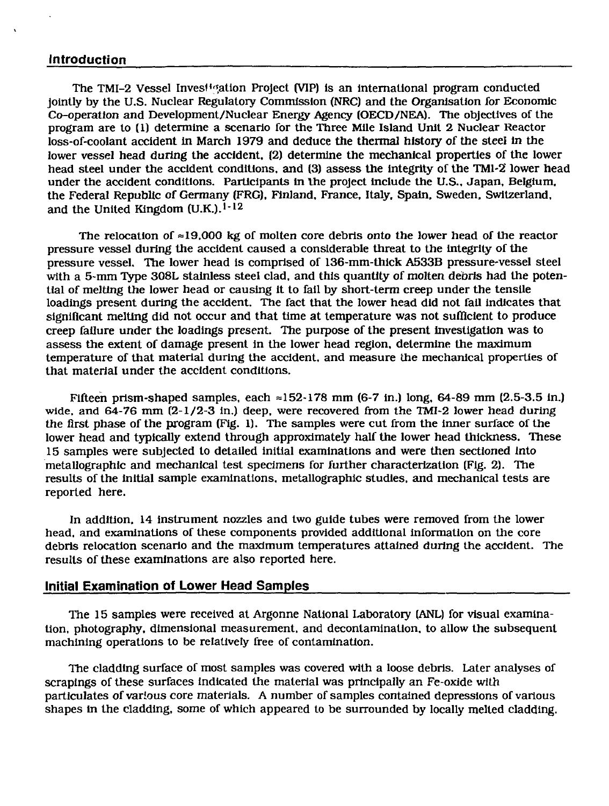## **Introduction**

The TMI-2 Vessel Investigation Project (VIP) is an international program conducted jointly by the U.S. Nuclear Regulatory Commission (NRC) and the Organisation for Economic Co-operation and Development/Nuclear Energy Agency (OECD/NEA). The objectives of the program are to (1) determine a scenario for the Three Mile Island Unit 2 Nuclear Reactor loss-of-coolant accident in March 1979 and deduce the thermal history of the steel in the lower vessel head during the accident, (2) determine the mechanical properties of the lower head steel under the accident conditions, and (3) assess the integrity of the TMI-2 lower head under the accident conditions. Participants in Ihe project include the U.S.. Japan, Belgium, the Federal Republic of Germany (FRG), Finland, France, Italy, Spain. Sweden, Switzerland, and the United Kingdom  $(U.K.).$ <sup>1-12</sup>

The relocation of  $\approx$ 19,000 kg of molten core debris onto the lower head of the reactor pressure vessel during the accident caused a considerable threat to the integrity of the pressure vessel. The lower head is comprised of 136-mm-thick A533B pressure-vessel steel with a 5-mm Type 308L stainless steel clad, and this quantity of molten debris had the potential of melting the lower head or causing it to fall by short-term creep under the tensile loadings present during the accident. The fact that the lower head did not fail indicates that significant melting did not occur and that time at temperature was not sufficient to produce creep failure under the loadings present. The purpose of the present Investigation was to assess the extent of damage present in the lower head region, determine the maximum temperature of that material during the accident, and measure the mechanical properties of that material under the accident conditions.

Fifteen prism-shaped samples, each  $\approx$ 152-178 mm (6-7 in.) long, 64-89 mm (2.5-3.5 in.) wide, and 64-76 mm (2-1/2-3 in.) deep, were recovered from the TMI-2 lower head during the first phase of the program (Fig. 1). The samples were cut from the Inner surface of the lower head and typically extend through approximately half the lower head thickness. These 15 samples were subjected to detailed initial examinations and were then sectioned Into metallographic and mechanical test specimens for further characterization (Fig. 2). The results of the Initial sample examinations, metallographic studies, and mechanical tests are reported here.

In addition, 14 instrument nozzles and two guide tubes were removed from the lower head, and examinations of these components provided additional information on the core debris relocation scenario and the maximum temperatures attained during the accident. The results of these examinations are also reported here.

## **Initial Examination of Lower Head Samples**

The 15 samples were received at Argonne National Laboratory (ANL) for visual examination, photography, dimensional measurement, and decontamination, to allow the subsequent machining operations to be relatively free of contamination.

The cladding surface of most samples was covered with a loose debris. Later analyses of scrapings of these surfaces Indicated the material was principally an Fe-oxide with particulates of various core materials. A number of samples contained depressions of various shapes in the cladding, some of which appeared to be surrounded by locally melted cladding.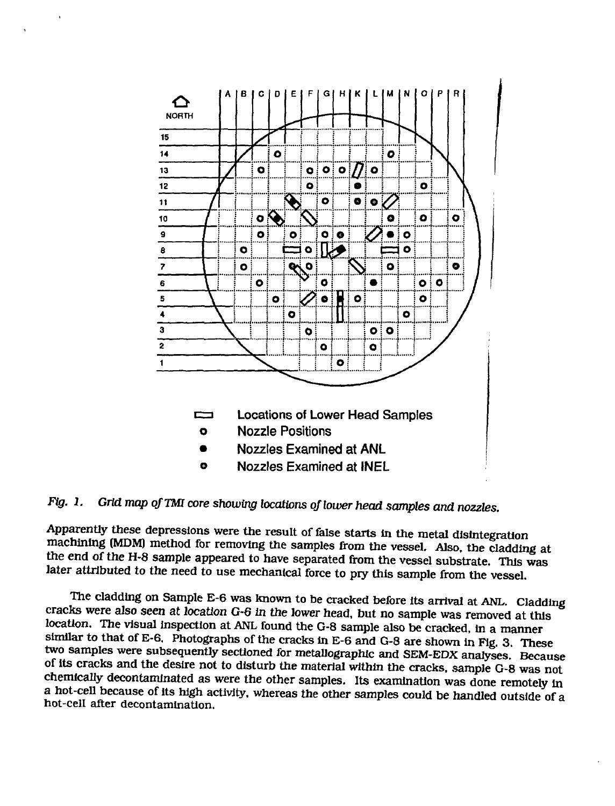

*Fig. 1. Grid map of TM core showing locations of lower head samples and nozzles.*

Apparently these depressions were the result of false starts in the metal disintegration machining (MDM) method for removing the samples from the vessel. Also, the cladding at the end of the H-8 sample appeared to have separated from the vessel substrate. This was later attributed to the need to use mechanical force to pry this sample from the vessel.

The cladding on Sample E-6 was known to be cracked before its arrival at ANL. Cladding cracks were also seen at location G-6 in the lower head, but no sample was removed at this location. The visual inspection at ANL found the G-8 sample also be cracked, in a manner similar to that of E-6. Photographs of the cracks in E-6 and G-8 are shown in Fig. 3. These two samples were subsequently sectioned for metallographic and SEM-EDX analyses. Because of its cracks and the desire not to disturb the material within the cracks, sample G-8 was not chemically decontaminated as were the other samples. Its examination was done remotely In a hot-cell because of its high activity, whereas the other samples could be handled outside of a hot-cell after decontamination.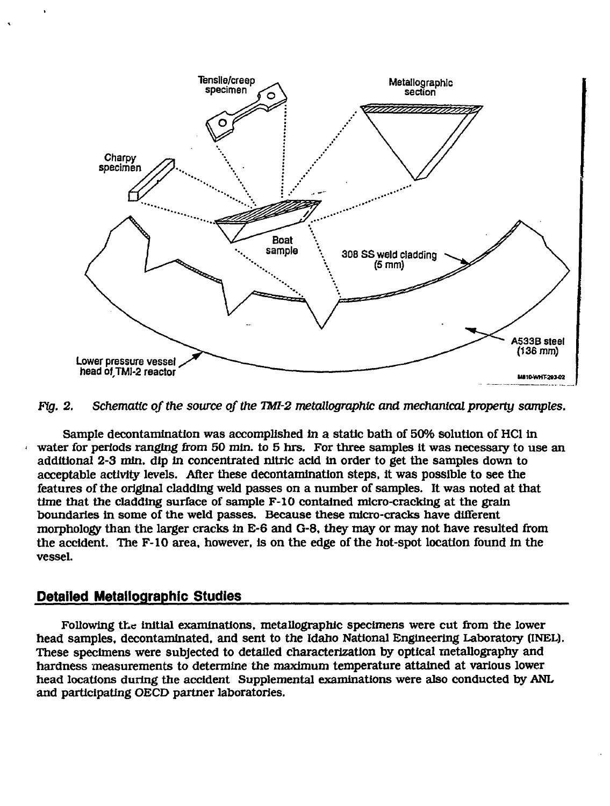

*Fig. 2. Schematic of the source of the TMl-2 metallographic and mechanical property samples.*

Sample decontamination was accomplished in a static bath of 50% solution of HCl in water for periods ranging from 50 min. to 5 hrs. For three samples it was necessary to use an additional 2-3 min. dip in concentrated nitric acid in order to get the samples down to acceptable activity levels. After these decontamination steps, it was possible to see the features of the original cladding weld passes on a number of samples. It was noted at that time that the cladding surface of sample F-10 contained micro-cracking at the grain boundaries in some of the weld passes. Because these micro-cracks have different morphology than the larger cracks in E-6 and G-8, they may or may not have resulted from the accident. The F-10 area, however, is on the edge of the hot-spot location found in the vessel.

## **Detailed Metallographic Studies**

Following the initial examinations, metallographic specimens were cut from the lower head samples, decontaminated, and sent to the Idaho National Engineering Laboratory (INEL). These specimens were subjected to detailed characterization by optical metallography and hardness measurements to determine the maximum temperature attained at various lower head locations during the accident Supplemental examinations were also conducted by ANL and participating OECD partner laboratories.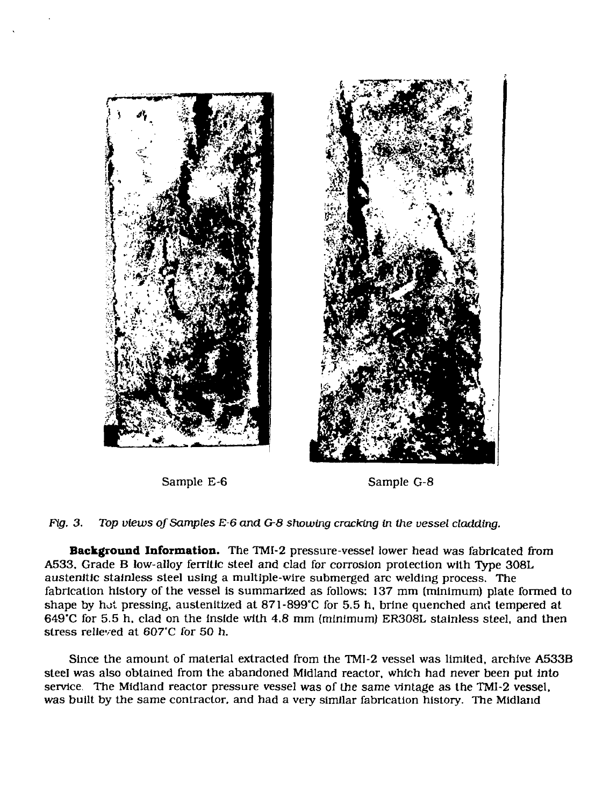



Sample E-6 Sample G-8

*Fig. 3. Top views of Samples E-6 and G-8 showing cracking in the vessel cladding.*

**Background Information.** The TMI-2 pressure-vessel lower head was fabricated from A533, Grade B low-alloy ferrltic steel and clad for corrosion protection with Type 308L austenitic stainless steel using a multiple-wire submerged arc welding process. The fabrication history of the vessel is summarized as follows: 137 mm (minimum) plate formed to shape by hot pressing, austenitized at 871-899°C for 5.5 h, brine quenched and tempered at  $649^{\circ}$ C for 5.5 h. clad on the inside with 4.8 mm (minimum) ER308L stainless steel, and then stress relieved at 607'C for 50 h.

Since the amount of material extracted from the TMI-2 vessel was limited, archive A533B steel was also obtained from the abandoned Midland reactor, which had never been put into service. The Midland reactor pressure vessel was of the same vintage as the TMI-2 vessel, was built by the same contractor, and had a very similar fabrication history. The Midland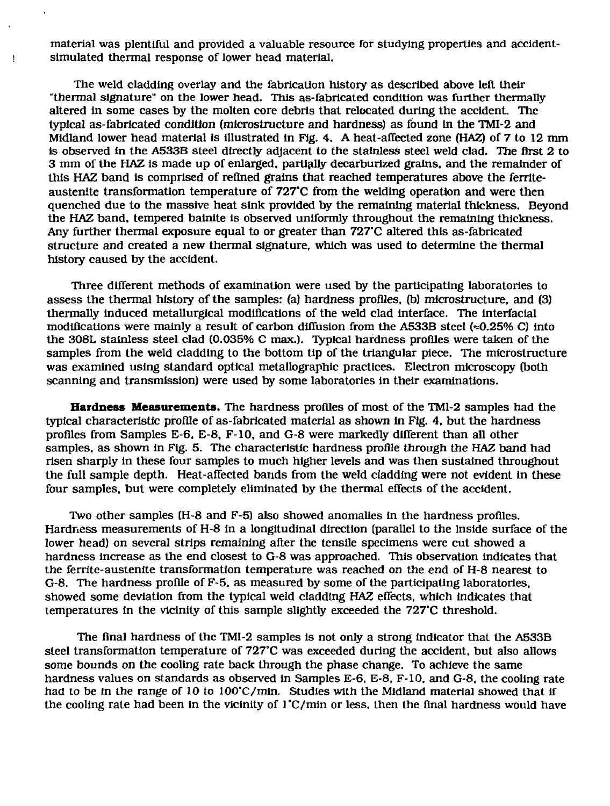material was plentiful and provided a valuable resource for studying properties and accidentsimulated thermal response of lower head material.

ŧ

The weld cladding overlay and the fabrication history as described above left their "thermal signature" on the lower head. This as-fabricated condition was further thermally altered in some cases by the molten core debris that relocated during the accident. The typical as-fabricated condition (mlcrostructure and hardness) as found In the TMI-2 and Midland lower head material Is illustrated in Fig. 4. A heat-affected zone (HAZ) of 7 to 12 mm is observed in the A533B steel directly adjacent to the stainless steel weld clad. The first 2 to 3 mm of the HAZ Is made up of enlarged, partially decarburized grains, and the remainder of this HAZ band is comprised of refined grains that reached temperatures above the ferriteaustenite transformation temperature of 727'C from the welding operation and were then quenched due to the massive heat sink provided by the remaining material thickness. Beyond the HAZ band, tempered bainite is observed uniformly throughout the remaining thickness. Any further thermal exposure equal to or greater than 727'C altered this as-fabricated structure and created a new thermal signature, which was used to determine the thermal history caused by the accident.

Three different methods of examination were used by the participating laboratories to assess the thermal history of the samples: (a) hardness profiles, fb) microstructure, and (3) thermally induced metallurgical modifications of the weld clad Interface. The interfacial modifications were mainly a result of carbon diffusion from the  $A533B$  steel ( $\approx 0.25\%$  C) into the 308L stainless steel clad (0.035% C max.). Typical hardness profiles were taken of the samples from the weld cladding to the bottom tip of the triangular piece. The microstructure was examined using standard optical metallographic practices. Electron microscopy (both scanning and transmission) were used by some laboratories in their examinations.

**Hardness Measurements.** The hardness profiles of most of the TMI-2 samples had the typical characteristic profile of as-fabricated material as shown in Fig. 4, but the hardness profiles from Samples E-6, E-8, F-10, and G-8 were markedly different than all other samples, as shown in Fig. 5. The characteristic hardness profile through the HAZ band had risen sharply in these four samples to much higher levels and was then sustained throughout the full sample depth. Heat-affected bands from the weld cladding were not evident in these four samples, but were completely eliminated by the thermal effects of the accident.

Two other samples (H-8 and F-5) also showed anomalies in the hardness profiles. Hardness measurements of H-8 in a longitudinal direction (parallel to the Inside surface of the lower head) on several strips remaining after the tensile specimens were cut showed a hardness increase as the end closest to G-8 was approached. This observation indicates that the ferrite-austenite transformation temperature was reached on the end of H-8 nearest to G-8. The hardness profile of F-5, as measured by some of the participating laboratories, showed some deviation from the typical weld cladding HAZ effects, which Indicates that temperatures in the vicinity of this sample slightly exceeded the 727'C threshold.

The final hardness of the TMI-2 samples is not only a strong indicator that the A533B steel transformation temperature of 727°C was exceeded during the accident, but also allows some bounds on the cooling rate back through the phase change. To achieve the same hardness values on standards as observed in Samples E-6, E-8, F-10, and G-8, the cooling rate had to be in the range of 10 to 100"C/min. Studies with the Midland material showed that if the cooling rate had been in the vicinity of  $l^{\circ}$ C/min or less, then the final hardness would have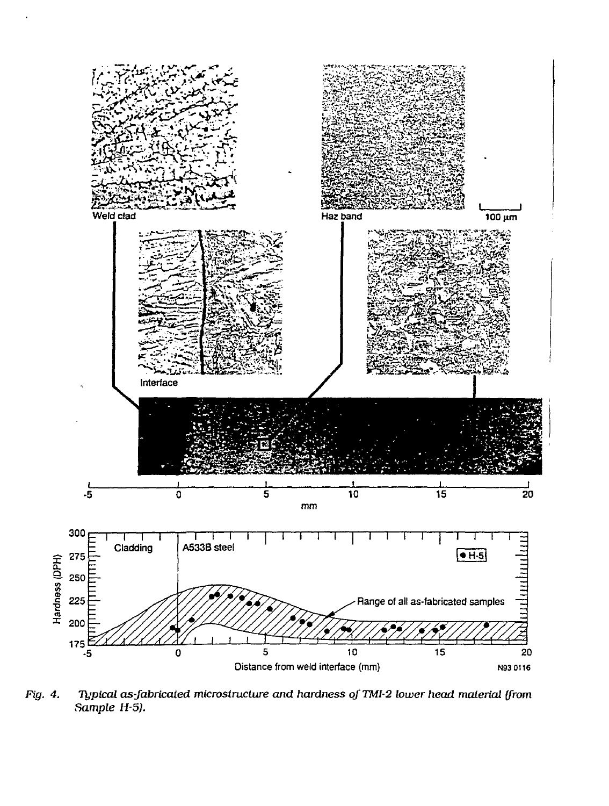

*Fig. 4. Typical as-fabricated microstructwe and hardness of TMI-2 lower head material (from Sample H-5).*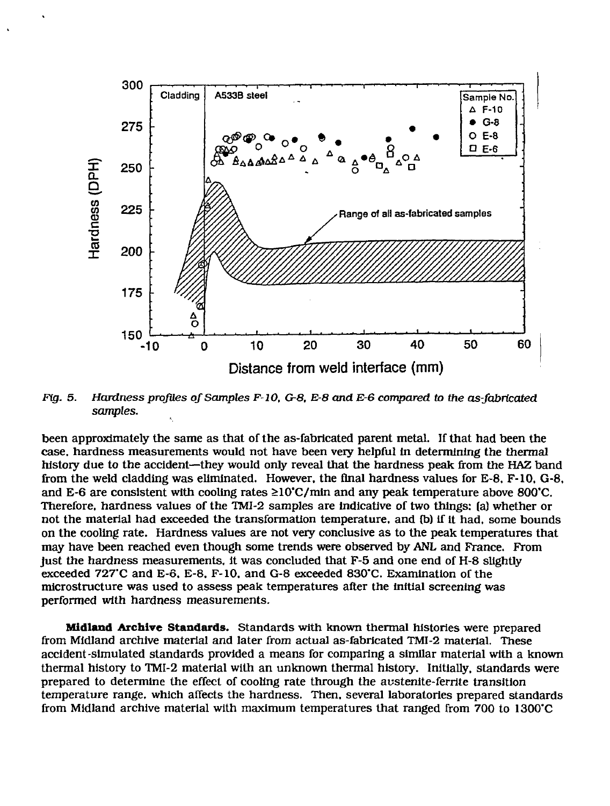

*Fig. 5. Hardness profiles of Samples F-10, G-8, E-8 and E-6 compared to the as-fabricated samples.*

been approximately the same as that of the as-fabricated parent metal. If that had been the case, hardness measurements would not have been very helpful in determining the thermal history due to the accident—they would only reveal that the hardness peak from the HAZ band from the weld cladding was eliminated. However, the final hardness values for E-8, F-10, G-8, and E-6 are consistent with cooling rates  $\geq 10^{\circ}$ C/min and any peak temperature above 800 $^{\circ}$ C. Therefore, hardness values of the TMI-2 samples are indicative of two things: (a) whether or not the material had exceeded the transformation temperature, and tb) if it had, some bounds on the cooling rate. Hardness values are not very conclusive as to the peak temperatures that may have been reached even though some trends were observed by ANL and France. From just the hardness measurements, it was concluded that F-5 and one end of H-8 slightly exceeded 727"C and E-6. E-8. F-10, and G-8 exceeded 830"C. Examination of the microstructure was used to assess peak temperatures after the initial screening was performed with hardness measurements.

**Midland Archive Standards.** Standards with known thermal histories were prepared from Midland archive material and later from actual as-fabricated TMI-2 material. These accident-simulated standards provided a means for comparing a similar material with a known thermal history to TMI-2 material with an unknown thermal history. Initially, standards were prepared to determine the effect of cooling rate through the austenite-ferrite transition temperature range, which affects the hardness. Then, several laboratories prepared standards from Midland archive material with maximum temperatures that ranged from 700 to 1300°C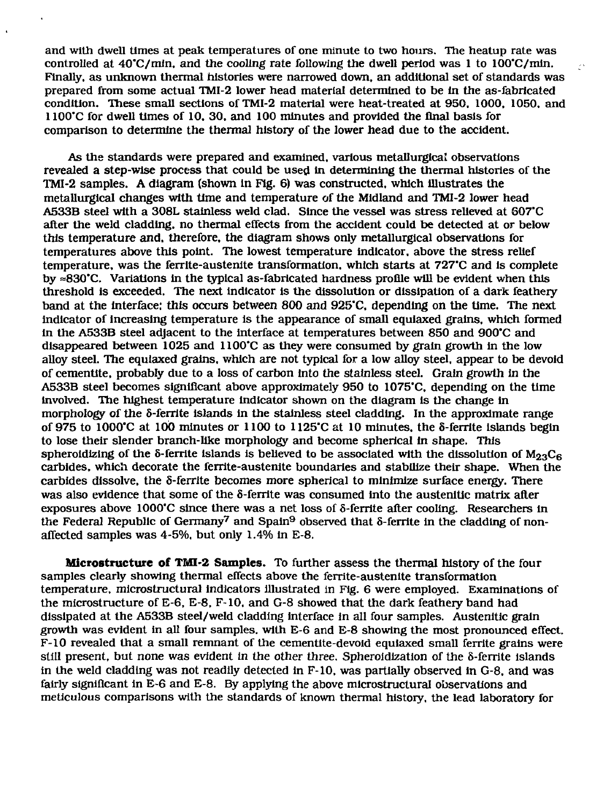and with dwell times at peak temperatures of one minute to two hours. The heatup rate was controlled at  $40^{\circ}$ C/min, and the cooling rate following the dwell period was 1 to  $100^{\circ}$ C/min. Finally, as unknown thermal histories were narrowed down, an additional set of standards was prepared from some actual TMI-2 lower head material determined to be In the as-fabricated condition. These small sections of TMI-2 material were heat-treated at 950. 1000, 1050, and 1100'C for dwell times of 10. 30. and 100 minutes and provided the final basis for comparison to determine the thermal history of the lower head due to the accident.

 $\bar{\lambda}$ 

As the standards were prepared and examined, various metallurgical observations revealed a step-wise process that could be used In determining the thermal histories of the TMI-2 samples. A diagram (shown In Fig. 6) was constructed, which illustrates the metallurgical changes with time and temperature of the Midland and TMI-2 lower head A533B steel with a 308L stainless weld clad. Since the vessel was stress relieved at 607'C after the weld cladding, no thermal effects from the accident could be detected at or below this temperature and. therefore, the diagram shows only metallurgical observations for temperatures above this point. The lowest temperature indicator, above the stress relief temperature, was the ferrite-austenite transformation, which starts at *727'C* and is complete by  $\approx 830^{\circ}$ C. Variations in the typical as-fabricated hardness profile will be evident when this threshold Is exceeded. The next indicator is the dissolution or dissipation of a dark feathery band at the Interface: this occurs between 800 and 925"C, depending on the time. The next indicator of increasing temperature is the appearance of small equiaxed grains, which formed In the A533B steel adjacent to the Interface at temperatures between 850 and 900"C and disappeared between 1025 and 1100'C as they were consumed by grain growth in the low alloy steel. The equiaxed grains, which are not typical for a low alloy steel, appear to be devoid of cementlte. probably due to a loss of carbon into the stainless steel. Grain growth In the A533B steel becomes significant above approximately 950 to 1075"C, depending on the time Involved. The highest temperature indicator shown on the diagram is the change in morphology of the 8-ferrite islands in the stainless steel cladding. In the approximate range of 975 to 1000'C at 100 minutes or 1100 to 1125"C at 10 minutes, the S-ferrite Islands begin to lose their slender branch-like morphology and become spherical in shape. This spheroidizing of the  $\delta$ -ferrite islands is believed to be associated with the dissolution of  $M_{23}C_6$ carbides, which decorate the ferrite-austenite boundaries and stabilize their shape. When the carbides dissolve, the S-ferrite becomes more spherical to minimize surface energy. There was also evidence that some of the 5-ferrite was consumed into the austenitic matrix after exposures above 1000'C since there was a net loss of 5-ferrite after cooling. Researchers in the Federal Republic of Germany<sup>7</sup> and Spain<sup>9</sup> observed that 8-ferrite In the cladding of nonaffected samples was 4-5%, but only 1.4% in E-8.

**Microstructure of TMI-2 Samples.** To further assess the thermal history of the four samples clearly showing thermal effects above the ferrite-austenite transformation temperature, microstructural indicators illustrated in Fig. 6 were employed. Examinations of the microstructure of E-6, E-8, F-10. and G-8 showed that the dark feathery band had dissipated at the A533B steel/weld cladding interface in all four samples. Austenitic grain growth was evident in all four samples, with E-6 and E-8 showing the most pronounced effect. F-10 revealed that a small remnant of the cementite-devoid equiaxed small ferrite grains were still present, but none was evident in the other three. Spheroidization of the 8-ferrite islands in the weld cladding was not readily detected in F-10, was partially observed in G-8, and was fairly significant in E-6 and E-8. By applying the above microstructural observations and meticulous comparisons with the standards of known thermal history, the lead laboratory for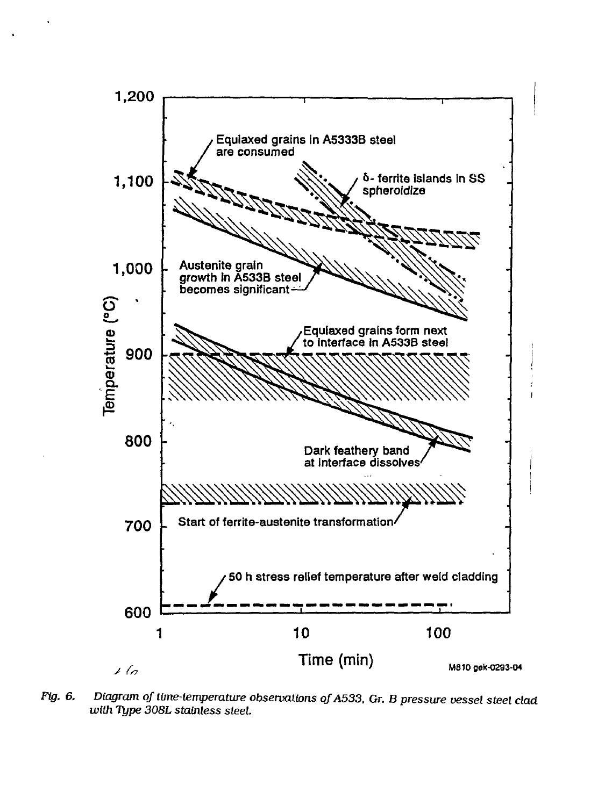

*Fig. 6. Diagram of time-temperature observations oJA533, Gr. B pressure vessel steel clad with Type 308L stainless steel.*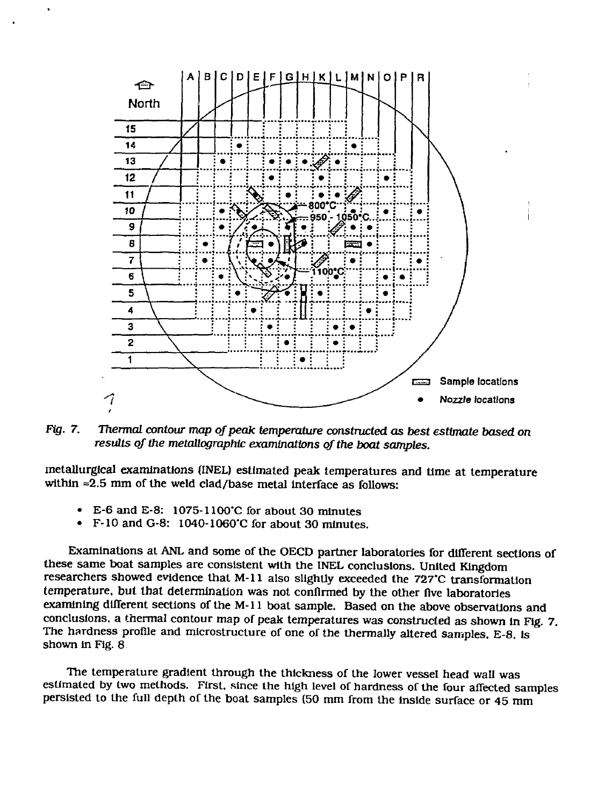

*Fig. 7. Thermal contour map of peak temperature constructed as best estimate based on results of the metallographic examinations of the boat samples.*

metallurgical examinations (INEL) estimated peak temperatures and time at temperature within  $\approx$  2.5 mm of the weld clad/base metal interface as follows:

- E-6 and E-8:  $1075-1100^{\circ}$ C for about 30 minutes<br>• E-10 and G-8:  $1040-1060^{\circ}$ C for about 30 minutes
- F-10andG-8: 1040-1060'C for about 30 minutes.

Examinations at ANL and some of the OECD partner laboratories for different sections of these same boat samples are consistent with the INEL conclusions. United Kingdom researchers showed evidence that M-ll also slightly exceeded the 727'C transformation temperature, but that determination was not confirmed by the other five laboratories examining different sections of the M-ll boat sample. Based on the above observations and conclusions, a thermal contour map of peak temperatures was constructed as shown In Fig. 7. The hardness profile and microstructure of one of the thermally altered samples. E-8, is shown in Fig. 8

The temperature gradient through the thickness of the lower vessel head wall was estimated by two methods. First, since the high level of hardness of the four affected samples persisted to the full depth of the boat samples (50 mm from the Inside surface or 45 mm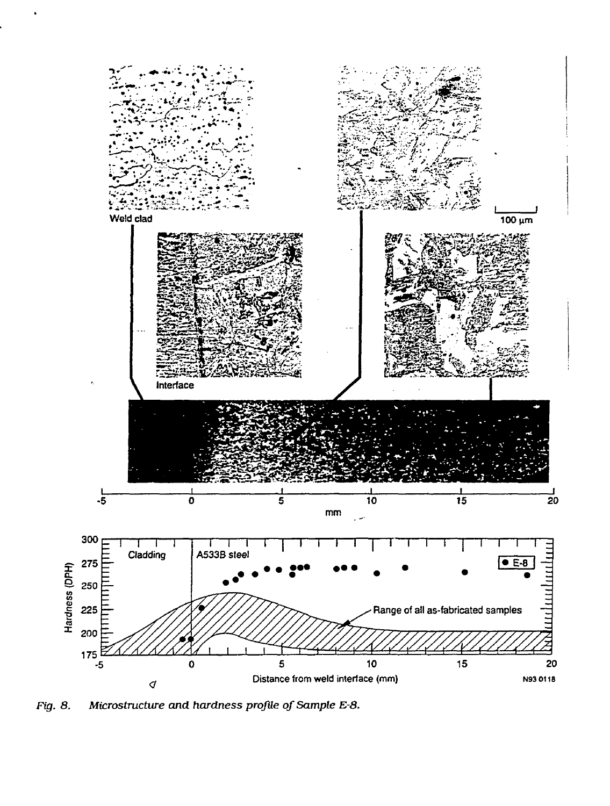

*Fig. 8. Microstructwe and hardness profile of Sample E-8.*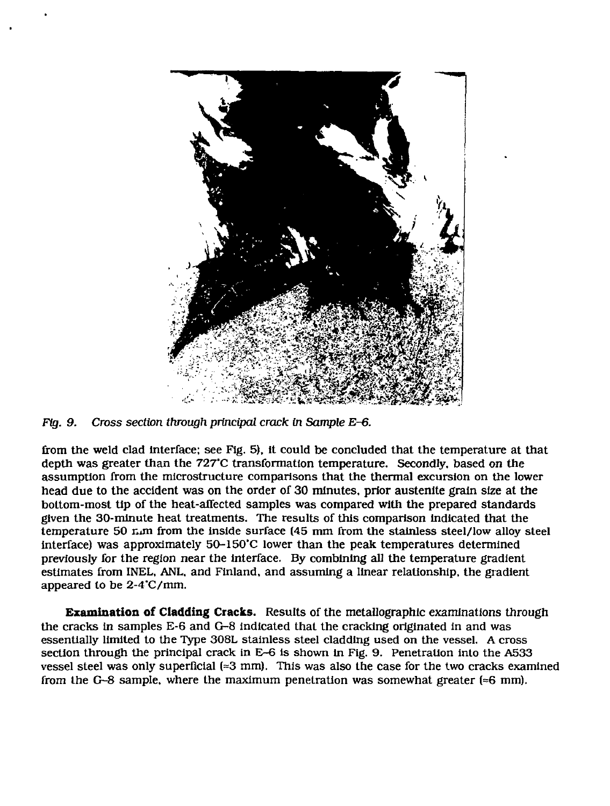

*Fig. 9. Cross section through principal crack in Sample E-6.*

from the weld clad interface; see Fig. 5), it could be concluded that the temperature at that depth was greater than the 727"C transformation temperature. Secondly, based on the assumption from the microstructure comparisons that the thermal excursion on the lower head due to the accident was on the order of 30 minutes, prior austenlte grain size at the bottom-most tip of the heat-affected samples was compared with the prepared standards given the 30-minute heat treatments. The results of this comparison indicated that the temperature 50 nm from the inside surface (45 mm from the stainless steel/low alloy steel interface) was approximately 50-150'C lower than the peak temperatures determined previously for the region near the interface. By combining all the temperature gradient estimates from INEL, ANL, and Finland, and assuming a linear relationship, the gradient appeared to be 2-4'C/mm.

**Examination of Cladding Cracks.** Results of the metallographlc examinations through the cracks in samples E-6 and G-8 indicated that the cracking originated in and was essentially limited to the Type 308L stainless steel cladding used on the vessel. A cross section through the principal crack in E-6 is shown in Fig. 9. Penetration into the A533 vessel steel was only superficial  $(2.3 \text{ mm})$ . This was also the case for the two cracks examined from the G-8 sample, where the maximum penetration was somewhat greater  $(=6 \text{ mm})$ .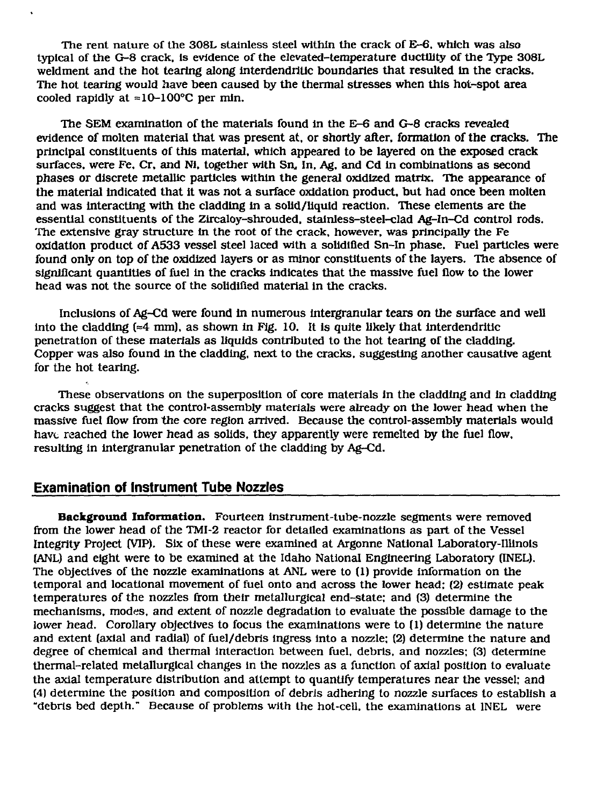The rent nature of the 308L stainless steel within the crack of E-6. which was also typical of the G-8 crack. Is evidence of the elevated-temperature ductility of the Type 308L weldment and the hot tearing along interdendritic boundaries that resulted in the cracks. The hot tearing would have been caused by the thermal stresses when this hot-spot area cooled rapidly at  $\approx 10-100^{\circ}$ C per min.

The SEM examination of the materials found In the E-6 and G-8 cracks revealed evidence of molten material that was present at, or shortly after, formation of the cracks. The principal constituents of this material, which appeared to be layered on the exposed crack surfaces, were Fe, Cr, and Ni, together with Sn, In, Ag, and Cd in combinations as second phases or discrete metallic particles within the general oxidized matrix. The appearance of the material indicated that it was not a surface oxidation product, but had once been molten and was Interacting with the cladding in a solid/liquid reaction. These elements are the essential constituents of the Zircaloy-shrouded, stainless-steel-clad Ag-In-Cd control rods. The extensive gray structure in the root of the crack, however, was principally the Fe oxidation product of A533 vessel steel laced with a solidified Sn-In phase. Fuel particles were found only on top of the oxidized layers or as minor constituents of the layers. The absence of significant quantities of fuel in the cracks Indicates that the massive fuel flow to the lower head was not the source of the solidified material in the cracks.

Inclusions of Ag-Cd were found in numerous intergranular tears on the surface and well into the cladding  $\approx 4$  mm), as shown in Fig. 10. It is quite likely that interdendritic penetration of these materials as liquids contributed to the hot tearing of the cladding. Copper was also found in the cladding, next to the cracks, suggesting another causative agent for the hot tearing.

These observations on the superposition of core materials in the cladding and in cladding cracks suggest that the control-assembly materials were already on the lower head when the massive fuel flow from the core region arrived. Because the control-assembly materials would have reached the lower head as solids, they apparently were remelted by the fuel flow, resulting in intergranular penetration of the cladding by Ag-Cd.

## **Examination of Instrument Tube Nozzles**

**Background Information.** Fourteen instrument-tube-nozzle segments were removed from the lower head of the TMI-2 reactor for detailed examinations as part of the Vessel Integrity Project (VIP). Six of these were examined at Argonne National Laboratory-Illinois (ANL) and eight were to be examined at the Idaho National Engineering Laboratory (INEL). The objectives of the nozzle examinations at ANL were to (1) provide information on the temporal and locatlonal movement of fuel onto and across the lower head: (2) estimate peak temperatures of the nozzles from their metallurgical end-state; and (3) determine the mechanisms, modes, and extent of *nozzle* degradation to evaluate the possible damage to the lower head. Corollary objectives to focus the examinations were to (1) determine the nature and extent (axial and radial) of fuel/debris ingress into a nozzle: (2) determine the nature and degree of chemical and thermal interaction between fuel, debris, and nozzles; (3) determine thermal-related metallurgical changes in the nozzles as a function of axial position to evaluate the axial temperature distribution and attempt to quantify temperatures near the vessel; and (4) determine the position and composition of debris adhering to nozzle surfaces to establish a "debris bed depth." Because of problems with the hot-cell, the examinations at INEL were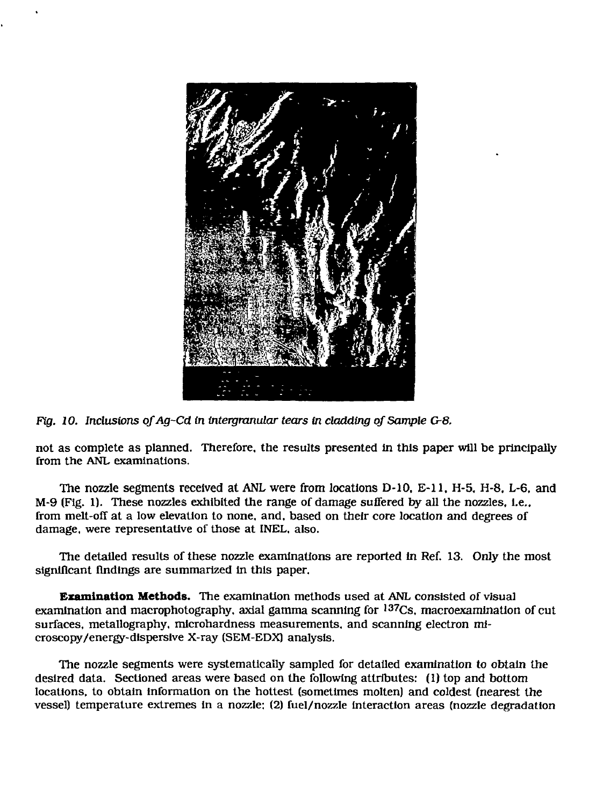

Fig. 10. Inclusions of Ag-Cd in intergranular tears in cladding of Sample G-8.

not as complete as planned. Therefore, the results presented In this paper will be principally from the ANL examinations.

The nozzle segments received at ANL were from locations D-10, E-ll. H-5. H-8. L-6, and M-9 (Fig. 1). These nozzles exhibited the range of damage suffered by all the nozzles, l.e., from melt-off at a low elevation to none, and, based on their core location and degrees of damage, were representative of those at INEL, also.

The detailed results of these nozzle examinations are reported in Ref. 13. Only the most significant findings are summarized in this paper.

**Examination Methods.** The examination methods used at ANL consisted of visual examination and macrophotography, axial gamma scanning for <sup>137</sup>Cs, macroexamination of cui surfaces, metallography, microhardness measurements, and scanning electron microscopy/energy-dlsperslve X-ray (SEM-EDX) analysis.

The nozzle segments were systematically sampled for detailed examination to obtain the desired data. Sectioned areas were based on the following attributes: (1) top and bottom locations, to obtain information on the hottest (sometimes molten) and coldest (nearest the vessel) temperature extremes In a nozzle; (2) fuel/nozzle interaction areas (nozzle degradation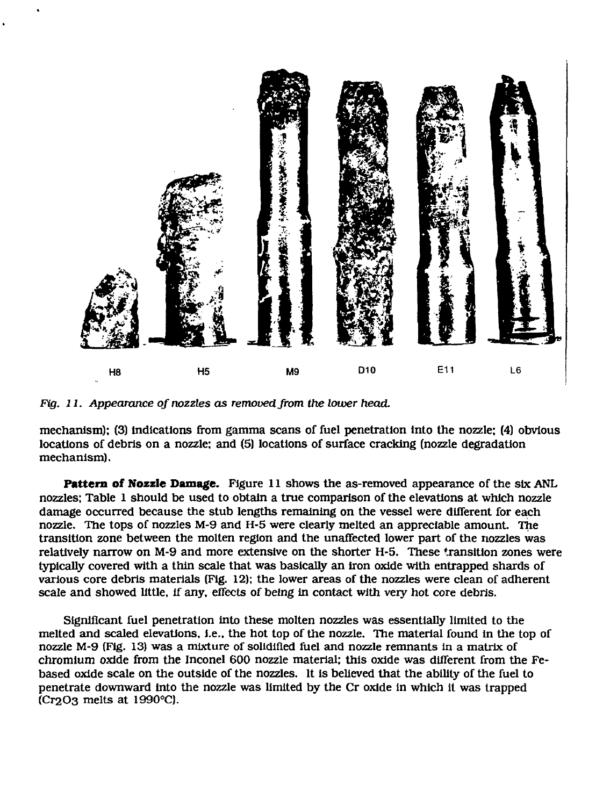

*Fig. ll. Appearance of nozzles as removed from the lower head.*

mechanism); (3) Indications from gamma scans of fuel penetration into the nozzle: (4) obvious locations of debris on a nozzle: and (5) locations of surface cracking (nozzle degradation mechanism).

**Pattern of Nozzle Damage.** Figure 11 shows the as-removed appearance of the six ANL nozzles; Table 1 should be used to obtain a true comparison of the elevations at which nozzle damage occurred because the stub lengths remaining on the vessel were different for each nozzle. The tops of nozzles M-9 and H-5 were clearly melted an appreciable amount. The transition zone between the molten region and the unaffected lower part of the nozzles was relatively narrow on M-9 and more extensive on the shorter H-5. These transition zones were typically covered with a thin scale that was basically an Iron oxide with entrapped shards of various core debris materials (Fig. 12); the lower areas of the nozzles were clean of adherent scale and showed little. If any, effects of being in contact with very hot core debris.

Significant fuel penetration into these molten nozzles was essentially limited to the melted and scaled elevations, i.e.. the hot top of the nozzle. The material found in the top of nozzle M-9 (Fig. 13) was a mixture of solidified fuel and *nozzle* remnants in a matrix of chromium oxide from the Inconel 600 nozzle material; this oxide was different from the Febased oxide scale on the outside of the nozzles. It is believed that the ability of the fuel to penetrate downward Into the nozzle was limited by the Cr oxide in which it was trapped (Cr2O3 melts at 1990°C).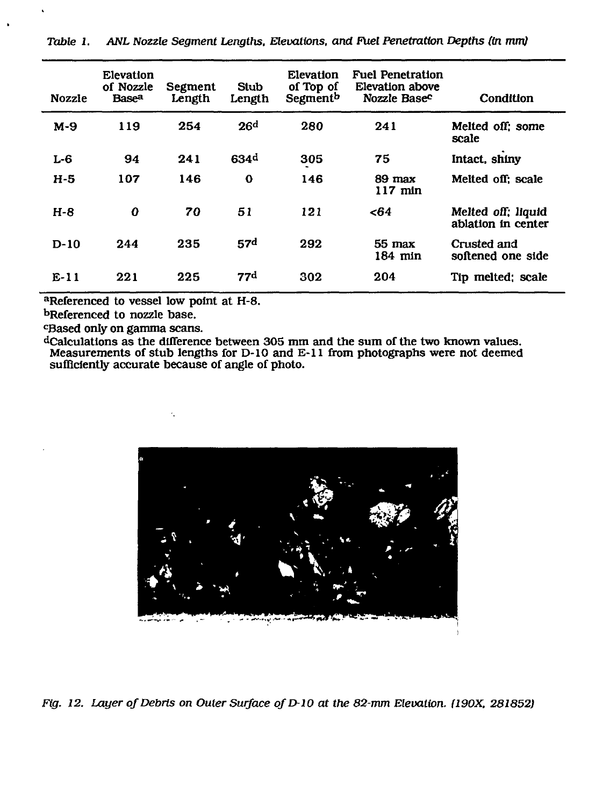| <b>Nozzle</b> | <b>Elevation</b><br>of Nozzle<br><b>Basea</b> | Segment<br>Length | Stub<br>Length   | <b>Elevation</b><br>of Top of<br>Segment <sup>b</sup> | <b>Fuel Penetration</b><br>Elevation above<br>Nozzle Base <sup>c</sup> | Condition                                |
|---------------|-----------------------------------------------|-------------------|------------------|-------------------------------------------------------|------------------------------------------------------------------------|------------------------------------------|
| $M-9$         | 119                                           | 254               | 26d              | 280                                                   | 241                                                                    | Melted off: some<br>scale                |
| $L-6$         | 94                                            | 241               | 634 <sup>d</sup> | 305                                                   | 75                                                                     | Intact, shiny                            |
| $H-5$         | 107                                           | 146               | $\mathbf o$      | 146                                                   | 89 max<br>$117$ min                                                    | Melted off: scale                        |
| $H - 8$       | $\Omega$                                      | 70                | 51               | 121                                                   | -64                                                                    | Melted off; liquid<br>ablation in center |
| $D-10$        | 244                                           | 235               | 57 <sup>d</sup>  | 292                                                   | $55$ max<br>$184$ min                                                  | Crusted and<br>softened one side         |
| $E-11$        | 221                                           | 225               | 77d              | 302                                                   | 204                                                                    | Tip melted; scale                        |

*Table 1. ANL Nozzle Segment Lengths, Elevations, and Fuel Penetration Depths (in mm)*

**<sup>a</sup>Referenced to vessel low point at H-8.**

**<sup>b</sup>Referenced to nozzle base.**

**<sup>c</sup>Based only on gamma scans.**

**<sup>d</sup>Calculations as the difference between 305 mm and the Measurements of stub lengths for D-10 and E-ll from sufficiently accurate because of angle of photo. sum of the two known values, photographs were not deemed**



*Fig. 12. Layer of Debris on Outer Surface of D-10 at the 82-mm Elevation. (190X. 281852)*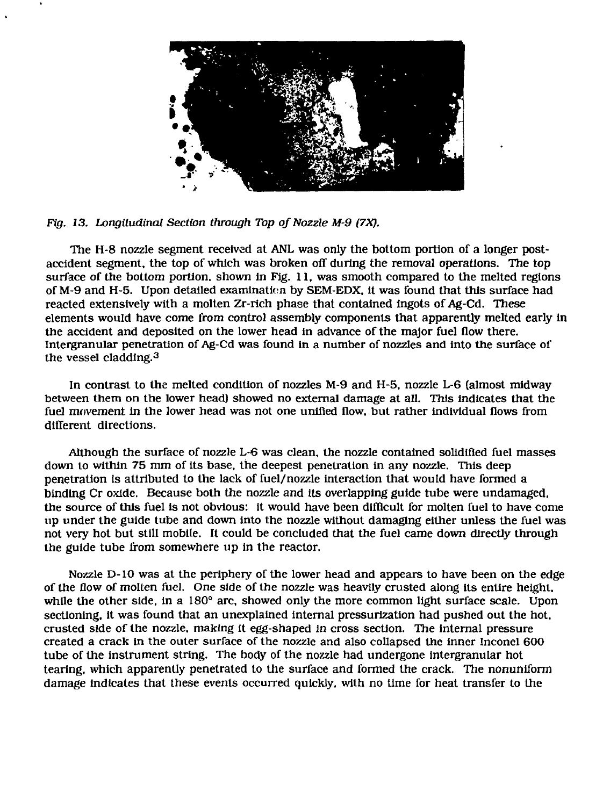



The H-8 nozzle segment received at ANL was only the bottom portion of a longer postaccident segment, the top of which was broken off during the removal operations. The top surface of the bottom portion, shown in Fig. 11, was smooth compared to the melted regions of M-9 and H-5. Upon detailed examination by SEM-EDX. it was found that this surface had reacted extensively with a molten Zr-rich phase that contained ingots of Ag-Cd. These elements would have come from control assembly components that apparently melted early in the accident and deposited on the lower head in advance of the major fuel flow there. Intergranular penetration of Ag-Cd was found in a number of nozzles and into the surface of the vessel cladding.<sup>3</sup>

In contrast to the melted condition of nozzles M-9 and H-5, nozzle L-6 (almost midway between them on the lower head) showed no external damage at all. This indicates that the fuel movement in the lower head was not one unified flow, but rather individual flows from different directions.

Although the surface of nozzle  $L-6$  was clean, the nozzle contained solidified fuel masses down to within 75 mm of its base, the deepest penetration in any nozzle. This deep penetration is attributed to the lack of fuel/nozzle interaction that would have formed a binding Cr oxide. Because both the nozzle and Its overlapping guide tube were undamaged, the source of this fuel is not obvious: it would have been difficult for molten fuel to have come up under the guide tube and down into the nozzle without damaging either unless the fuel was not very hot but still mobile. It could be concluded that the fuel came down directly through the guide tube from somewhere up in the reactor.

Nozzle D-1O was at the periphery of the lower head and appears to have been on the edge of the flow of molten fuel. One side of the *nozzle* was heavily crusted along its entire height, while the other side, in a 180° arc, showed only the more common light surface scale. Upon sectioning, it was found that an unexplained internal pressurization had pushed out the hot, crusted side of the nozzle, making it egg-shaped in cross section. The internal pressure created a crack in the outer surface of the nozzle and also collapsed the inner Inconel 600 tube of the instrument string. The body of the nozzle had undergone intergranular hot tearing, which apparently penetrated to the surface and formed the crack. The nonuniform damage indicates that these events occurred quickly, with no time for heat transfer to the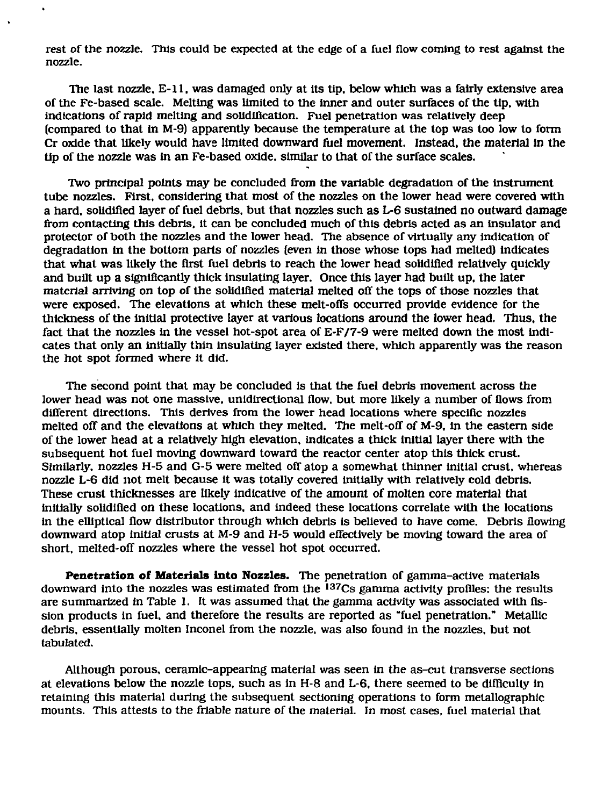rest of the nozzle. This could be expected at the edge of a fuel flow coming to rest against the nozzle.

The last nozzle. E-ll, was damaged only at its tip. below which was a fairly extensive area of the Fe-based scale. Melting was limited to the inner and outer surfaces of the tip, with Indications of rapid melting and solidification. Fuel penetration was relatively deep (compared to that in M-9) apparently because the temperature at the top was too low to form Cr oxide that likely would have limited downward fuel movement. Instead, the material in the tip of the nozzle was in an Fe-based oxide, similar to that of the surface scales.

Two principal points may be concluded from the variable degradation of the instrument tube nozzles. First, considering that most of the nozzles on the lower head were covered with a hard, solidified layer of fuel debris, but that nozzles such as L-6 sustained no outward damage from contacting this debris, it can be concluded much of this debris acted as an insulator and protector of both the nozzles and the lower head. The absence of virtually any indication of degradation In the bottom parts of nozzles (even in those whose tops had melted) indicates that what was likely the first fuel debris to reach the lower head solidified relatively quickly and built up a significantly thick insulating layer. Once this layer had built up, the later material arriving on top of the solidified material melted off the tops of those nozzles that were exposed. The elevations at which these melt-offs occurred provide evidence for the thickness of the initial protective layer at various locations around the lower head. Thus, the fact that the nozzles in the vessel hot-spot area of E-F/7-9 were melted down the most indicates that only an initially thin insulating layer existed there, which apparently was the reason the hot spot formed where it did.

The second point that may be concluded is that the fuel debris movement across the lower head was not one massive, unidirectional flow, but more likely a number of flows from different directions. This derives from the lower head locations where specific nozzles melted off and the elevations at which they melted. The melt-off of M-9, in the eastern side of the lower head at a relatively high elevation, indicates a thick initial layer there with the subsequent hot fuel moving downward toward the reactor center atop this thick crust. Similarly, nozzles H-5 and G-5 were melted off atop a somewhat thinner initial crust, whereas nozzle L-6 did not melt because it was totally covered initially with relatively cold debris. These crust thicknesses are likely indicative of the amount of molten core material that initially solidified on these locations, and indeed these locations correlate with the locations in the elliptical flow distributor through which debris is believed to have come. Debris flowing downward atop initial crusts at M-9 and H-5 would effectively be moving toward the area of short, melted-off nozzles where the vessel hot spot occurred.

**Penetration of Materials into Nozzles.** The penetration of gamma-active materials downward into the nozzles was estimated from the <sup>137</sup>Cs gamma activity profiles; the results are summarized in Table 1. It was assumed that the gamma activity was associated with fission products in fuel, and therefore the results are reported as "fuel penetration." Metallic debris, essentially molten Inconel from the nozzle, was also found in the nozzles, but not tabulated.

Although porous, ceramic-appearing material was seen in the as-cut transverse sections at elevations below the nozzle tops, such as in H-8 and L-6, there seemed to be difficulty in retaining this material during the subsequent sectioning operations to form metallographic mounts. This attests to the friable nature of the material. In most cases, fuel material that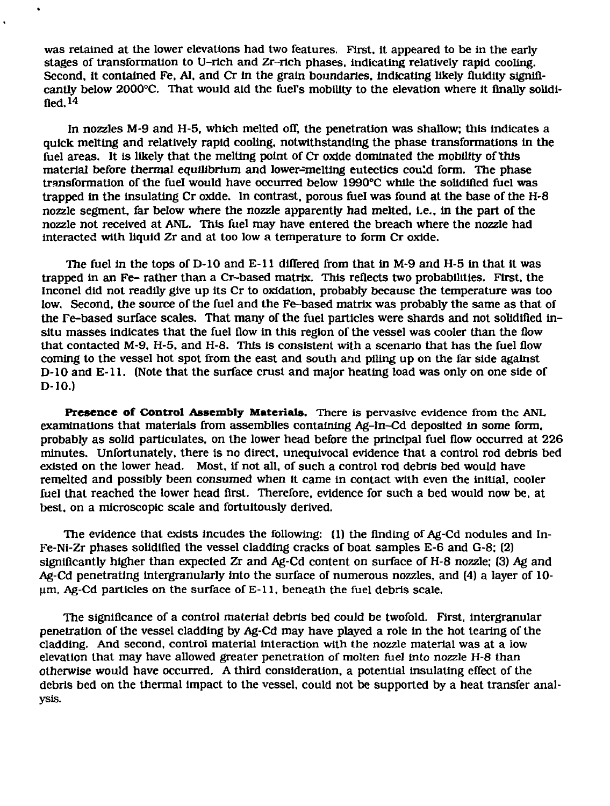was retained at the lower elevations had two features. First, it appeared to be in the early stages of transformation to U-rich and Zr-rich phases, indicating relatively rapid cooling. Second, it contained Fe. Al. and Cr in the grain boundaries, indicating likely fluidity significantly below 2000°C. That would aid the fuel's mobility to the elevation where it finally solidified. 14

In nozzles M-9 and H-5, which melted off, the penetration was shallow; this indicates a quick melting and relatively rapid cooling, notwithstanding the phase transformations in the fuel areas. It is likely that the melting point of Cr oxide dominated the mobility of this material before thermal equilibrium and lower-melting eutectics cou'd form. The phase transformation of the fuel would have occurred below 1990°C while the solidified fuel was trapped in the insulating Cr oxide. In contrast, porous fuel was found at the base of the H-8 nozzle segment, far below where the nozzle apparently had melted, i.e.. In the part of the nozzle not received at ANL. This fuel may have entered the breach where the nozzle had interacted with liquid Zr and at too low a temperature to form Cr oxide.

The fuel in the tops of D-10 and E-11 differed from that in M-9 and H-5 in that it was trapped in an Fe- rather than a Cr-based matrix. This reflects two probabilities. First, the Inconel did not readily give up its Cr to oxidation, probably because the temperature was too low. Second, the source of the fuel and the Fe-based matrix was probably the same as that of the re-based surface scales. That many of the fuel particles were shards and not solidified insitu masses indicates that the fuel flow in this region of the vessel was cooler than the flow that contacted M-9, H-5, and H-8. This is consistent with a scenario that has the fuel flow coming to the vessel hot spot from the east and south and piling up on the far side against D-10 and E-ll. (Note that the surface crust and major heating load was only on one side of D-10.)

Presence of Control Assembly Materials. There is pervasive evidence from the ANL examinations that materials from assemblies containing Ag-In-Cd deposited in some form, probably as solid particulates, on the lower head before the principal fuel flow occurred at 226 minutes. Unfortunately, there is no direct, unequivocal evidence that a control rod debris bed existed on the lower head. Most. If not all, of such a control rod debris bed would have remelted and possibly been consumed when it came in contact with even the initial, cooler fuel that reached the lower head first. Therefore, evidence for such a bed would now be, at best, on a microscopic scale and fortuitously derived.

The evidence that exists Incudes the following: (1) the finding of Ag-Cd nodules and In-Fe-Ni-Zr phases solidified the vessel cladding cracks of boat samples E-6 and G-8; (2) significantly higher than expected Zr and Ag-Cd content on surface of H-8 nozzle; (3) Ag and Ag-Cd penetrating intergranularly into the surface of numerous nozzles, and (4) a layer of 10  $µ$ m, Ag-Cd particles on the surface of  $E-11$ , beneath the fuel debris scale.

The significance of a control material debris bed could be twofold. First, intergranular penetration of the vessel cladding by Ag-Cd may have played a role in the hot tearing of the cladding. And second, control material interaction with the nozzle material was at a low elevation that may have allowed greater penetration of molten fuel into nozzle H-8 than otherwise would have occurred. A third consideration, a potential insulating effect of the debris bed on the thermal impact to the vessel, could not be supported by a heat transfer analysis.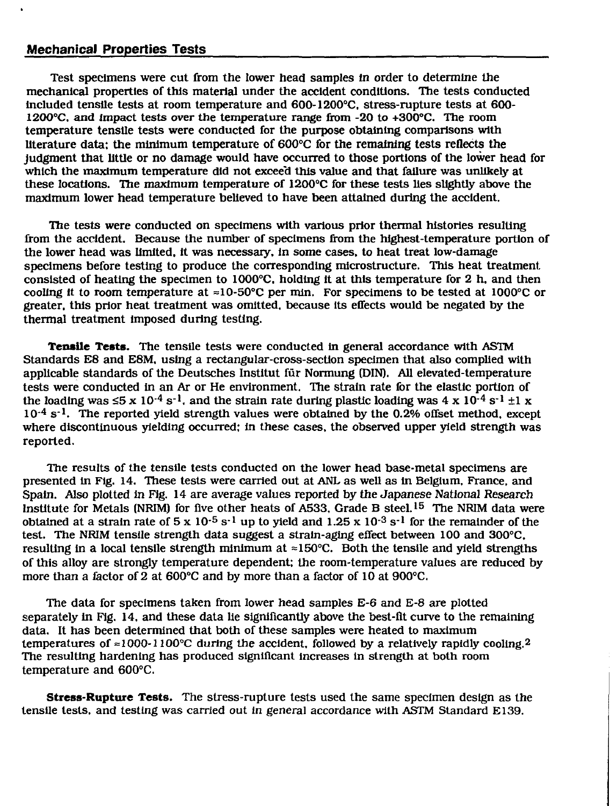## **Mechanical Properties Tests**

Test specimens were cut from the lower head samples in order *to* determine the mechanical properties of this material under the accident conditions. The tests conducted included tensile tests at room temperature and 600-1200°C. stress-rupture tests at 600- 1200°C. and impact tests over the temperature range from -20 to +300°C. The room temperature tensile tests were conducted for the purpose obtaining comparisons with literature data: the minimum temperature of 600°C for the remaining tests reflects the judgment that little or no damage would have occurred to those portions of the lower head for which the maximum temperature did not excee'd this value and that failure was unlikely at these locations. The maximum temperature of 1200°C for these tests lies slightly above the maximum lower head temperature believed to have been attained during the accident.

The tests were conducted on specimens with various prior thermal histories resulting from the accident. Because the number of specimens from the highest-temperature portion of the lower head was limited, it was necessary, in some cases, *to* heat treat low-damage specimens before testing to produce the corresponding microstructure. This heat treatment consisted of heating the specimen to 1000°C, holding it at this temperature for 2 h. and then cooling it to room temperature at  $\approx 10\text{-}50^{\circ}\text{C}$  per min. For specimens to be tested at 1000°C or greater, this prior heat treatment was omitted, because its eifects would be negated by the thermal treatment imposed during testing.

**Tensile Tests.** The tensile tests were conducted in general accordance with ASTM Standards E8 and E8M. using a rectangular-cross-section specimen that also complied with applicable standards of the Deutsches Institut fur Normung (DIN). All elevated-temperature tests were conducted in an Ar or He environment. The strain rate for the elastic portion of the loading was  $\leq 5 \times 10^{-4}$  s<sup>-1</sup>, and the strain rate during plastic loading was 4 x 10<sup>-4</sup> s<sup>-1</sup> ±1 x 10<sup>-4</sup> s<sup>-1</sup>. The reported yield strength values were obtained by the 0.2% offset method, except where discontinuous yielding occurred; in these cases, the observed upper yield strength was reported.

The results of the tensile tests conducted on the lower head base-metal specimens are presented in Fig. 14. These tests were carried out at ANL as well as in Belgium, France, and Spain. Also plotted in Fig. 14 are average values reported by the Japanese National Research Institute for Metals (NRIM) for five other heats of A533, Grade B steel.<sup>15</sup> The NRIM data were obtained at a strain rate of  $5 \times 10^{-5}$  s<sup>-1</sup> up to yield and 1.25 x  $10^{-3}$  s<sup>-1</sup> for the remainder of the test. The NRIM tensile strength data suggest a strain-aging effect between 100 and 300°C, resulting in a local tensile strength minimum at  $\approx 150^{\circ}$ C. Both the tensile and yield strengths of this alloy are strongly temperature dependent: the room-temperature values are reduced by more than a factor of 2 at 600°C and by more than a factor of 10 at 900°C.

The data for specimens taken from lower head samples E-6 and E-8 are plotted separately in Fig. 14, and these data lie significantly above the best-fit curve to the remaining data. It has been determined that both of these samples were heated to maximum temperatures of  $\approx 1000-1100^{\circ}$ C during the accident, followed by a relatively rapidly cooling.<sup>2</sup> The resulting hardening has produced significant increases in strength at both room temperature and 600°C.

**Stress-Rupture Tests.** The stress-rupture tests used the same specimen design as the tensile tests, and testing was carried out in general accordance with ASTM Standard El39.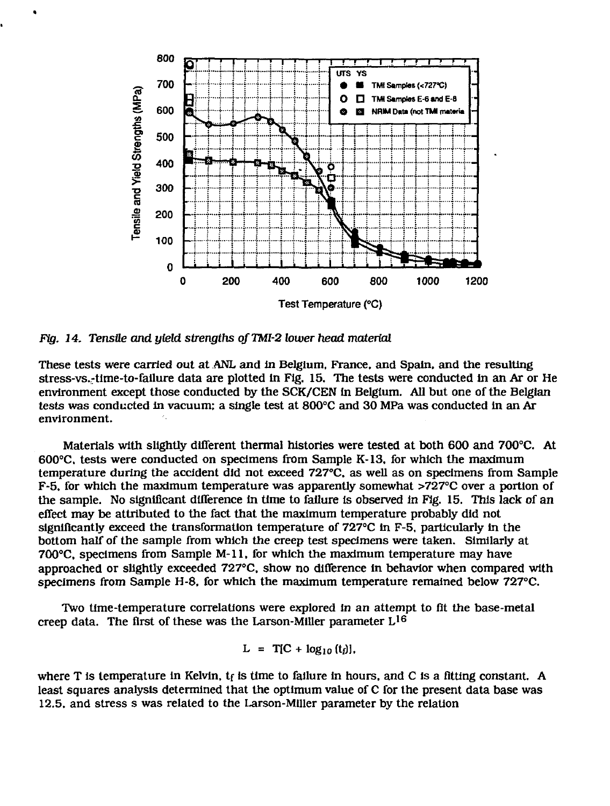

*Fig. 14. Tensile and yield strengths of TMI-2 lower head material*

These tests were carried out at ANL and in Belgium, France, and Spain, and the resulting stress-vs.-time-to-failure data are plotted in Fig. 15. The tests were conducted in an Ar or He environment except those conducted by the SCK/CEN In Belgium. All but one of the Belgian tests was conducted In vacuum; a single test at 800°C and 30 MPa was conducted In an Ar environment.

Materials with slightly different thermal histories were tested at both 600 and 700°C. At 600°C. tests were conducted on specimens from Sample K-13, for which the maximum temperature during the accident did not exceed 727°C, as well as on specimens from Sample F-5. for which the maximum temperature was apparently somewhat >727°C over a portion of the sample. No significant difference in time to failure is observed in Fig. 15. This lack of an effect may be attributed to the fact that the maximum temperature probably did not significantly exceed the transformation temperature of 727°C In F-5, particularly in the bottom half of the sample from which the creep test specimens were taken. Similarly at 700°C, specimens from Sample M-11. for which the maximum temperature may have approached or slightly exceeded 727°C, show no difference In behavior when compared with specimens from Sample H-8, for which the maximum temperature remained below 727°C.

Two time-temperature correlations were explored in an attempt to fit the base-metal creep data. The first of these was the Larson-Miller parameter L<sup>16</sup>

$$
L = T[C + log_{10} (t_i)],
$$

where T is temperature in Kelvin,  $t_f$  is time to failure in hours, and C is a fitting constant. A least squares analysis determined that the optimum value of C for the present data base was 12.5. and stress s was related to the Larson-Miller parameter by the relation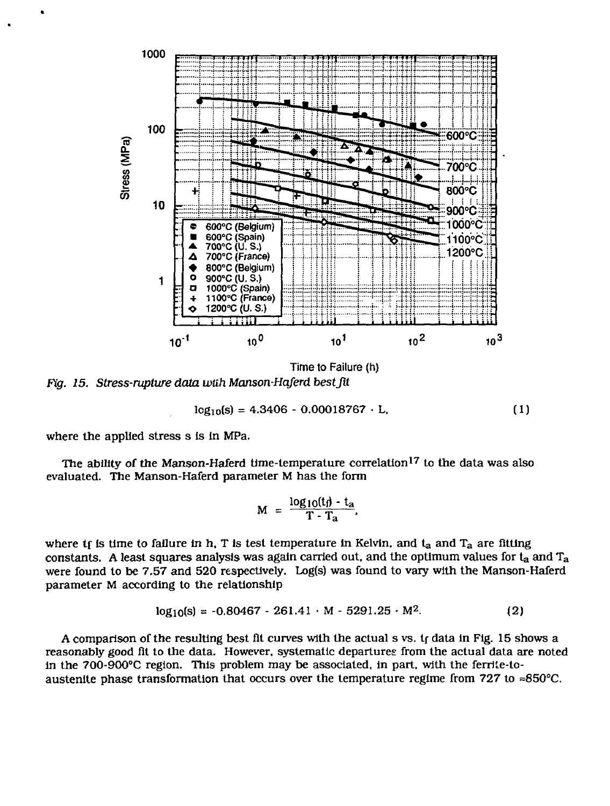

*Fig. 15. Stress-rupture data with Manson-Haferd best fit*

$$
log_{10}(s) = 4.3406 - 0.00018767 \cdot L, \qquad (1)
$$

where the applied stress s Is In MPa.

The ability of the Manson-Haferd time-temperature correlation<sup>17</sup> to the data was also evaluated. The Manson-Haferd parameter M has the form

$$
M = \frac{\log_{10}(t_{f}) - t_{a}}{T - T_{a}}.
$$

where  $t_f$  is time to failure in h, T is test temperature in Kelvin, and  $t_a$  and  $T_a$  are fitting constants. A least squares analysis was again carried out, and the optimum values for  $t_a$  and  $T_a$ were found to be 7.57 and 520 respectively. Log(s) was found to vary with the Manson-Haferd parameter M according to the relationship

$$
log_{10}(s) = -0.80467 - 261.41 \cdot M - 5291.25 \cdot M^{2}.
$$
 (2)

A comparison of the resulting best fit curves with the actual s vs. tf data in Fig. 15 shows a reasonably good fit to the data. However, systematic departures from the actual data are noted in the 700-900°C region. This problem may be associated, in part, with the ferrite-toaustenite phase transformation that occurs over the temperature regime from 727 to  $\approx 850^{\circ}$ C.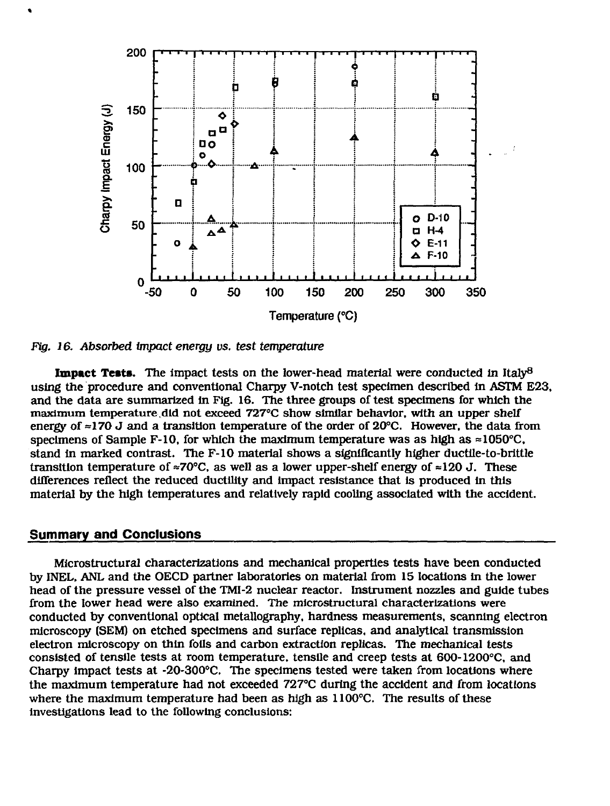

*Fig. 16. Absorbed impact energy vs. test temperature*

**Impact Tests.** The impact tests on the lower-head material were conducted in Italy<sup>8</sup> using the procedure and conventional Charpy V-notch test specimen described in ASTM E23, and the data are summarized in Fig. 16. The three groups of test specimens for which the maximum temperature.did not exceed 727°C show similar behavior, with an upper shelf energy of  $\approx$ 170 J and a transition temperature of the order of 20 $^{\circ}$ C. However, the data from specimens of Sample F-10, for which the maximum temperature was as high as  $\approx 1050^{\circ}$ C, stand in marked contrast. The F-10 material shows a significantly higher ductile-to-brittle transition temperature of  $\approx 70^{\circ}$ C, as well as a lower upper-shelf energy of  $\approx 120$  J. These differences reflect the reduced ductility and impact resistance that is produced in this material by the high temperatures and relatively rapid cooling associated with the accident.

## **Summary and Conclusions**

Microstructural characterizations and mechanical properties tests have been conducted by INEL, ANL and the OECD partner laboratories on material from 15 locations in the lower head of the pressure vessel of the TMI-2 nuclear reactor. Instrument nozzles and guide tubes from the lower head were also examined. The microstructural characterizations were conducted by conventional optical metallography, hardness measurements, scanning electron microscopy (SEM) on etched specimens and surface replicas, and analytical transmission electron microscopy on thin foils and carbon extraction replicas. The mechanical tests consisted of tensile tests at room temperature, tensile and creep tests at 600-1200°C, and Charpy impact tests at -20-300°C. The specimens tested were taken from locations where the maximum temperature had not exceeded 727°C during the accident and from locations where the maximum temperature had been as high as 1100°C. The results of these investigations lead to the following conclusions: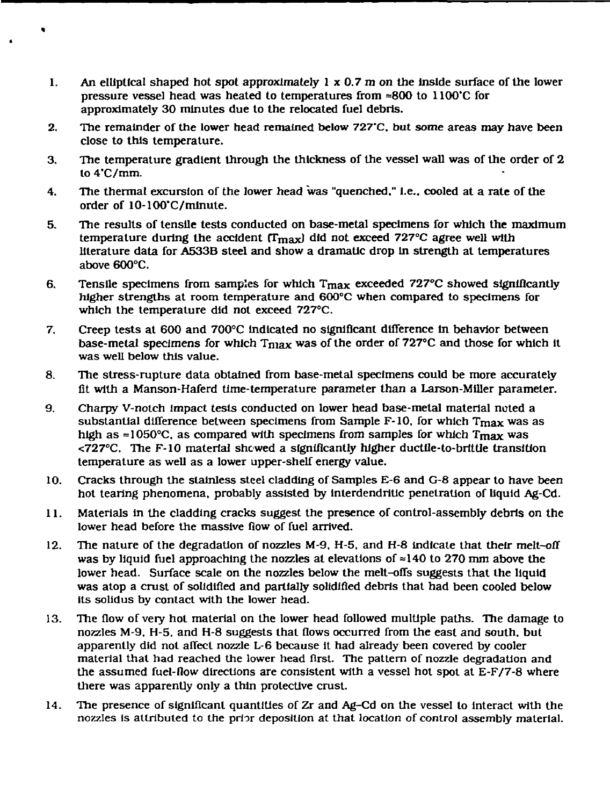- 1. An elliptical shaped hot spot approximately  $1 \times 0.7$  m on the inside surface of the lower pressure vessel head was heated to temperatures from =800 to 1100'C for approximately 30 minutes due to the relocated fuel debris.
- 2. The remainder of the lower head remained below *727'C.* but some areas may have been close to this temperature.
- 3. The temperature gradient through the thickness of the vessel wall was of the order of 2 to 4'C/mm.
- 4. The thermal excursion of the lower head was "quenched." I.e., cooled at a rate of the order of 10-100\*C/mlnute.
- 5. The results of tensile tests conducted on base-metal specimens for which the maximum temperature during the accident  $(T_{\text{max}})$  did not exceed 727°C agree well with literature data for A533B steel and show a dramatic drop In strength at temperatures above 600°C.
- 6. Tensile specimens from samples for which  $T_{\text{max}}$  exceeded 727°C showed significantly higher strengths at room temperature and 600°C when compared to specimens for which the temperature did not exceed 727°C.
- 7. Creep tests at 600 and 700°C indicated no significant difference In behavior between base-metal specimens for which  $T_{\text{max}}$  was of the order of 727°C and those for which it was well below this value.
- 8. The stress-rupture data obtained from base-metal specimens could be more accurately fit with a Manson-Haferd time-temperature parameter than a Larson-Miller parameter.
- 9. Charpy V-notch impact tests conducted on lower head base-metal material noted a substantial difference between specimens from Sample F-10, for which Tmax was as high as  $\approx$ 1050°C, as compared with specimens from samples for which Tmax was <727°C. The F-10 material shewed a significantly higher ductile-to-brittle transition temperature as well as a lower upper-shelf energy value.
- 10. Cracks through the stainless steel cladding of Samples E-6 and G-8 appear to have been hot tearing phenomena, probably assisted by Inlerdendritic penetration of liquid Ag-Cd.
- 11. Materials in the cladding cracks suggest the presence of control-assembly debris on the lower head before the massive flow of fuel arrived.
- 12. The nature of the degradation of nozzles M-9. H-5, and H-8 indicate that their melt-off was by liquid fuel approaching the nozzles at elevations of  $\approx$ 140 to 270 mm above the lower head. Surface scale on the nozzles below the melt-offs suggests that the liquid was atop a crust of solidified and partially solidified debris that had been cooled below its solidus by contact with the lower head.
- 13. The flow of very hot material on the lower head followed multiple paths. The damage to nozzles M-9. H-5. and H-8 suggests that flows occurred from the east and south, but apparently did not affect nozzle L-6 because It had already been covered by cooler material that had reached the lower head first. The pattern of nozzle degradation and the assumed fuel-flow directions are consistent with a vessel hot spot at E-F/7-8 where there was apparently only a thin protective crust.
- 14. The presence of significant quantities of Zr and Ag-Cd on the vessel to interact with the nozzles is attributed to the prior deposition at that location of control assembly material.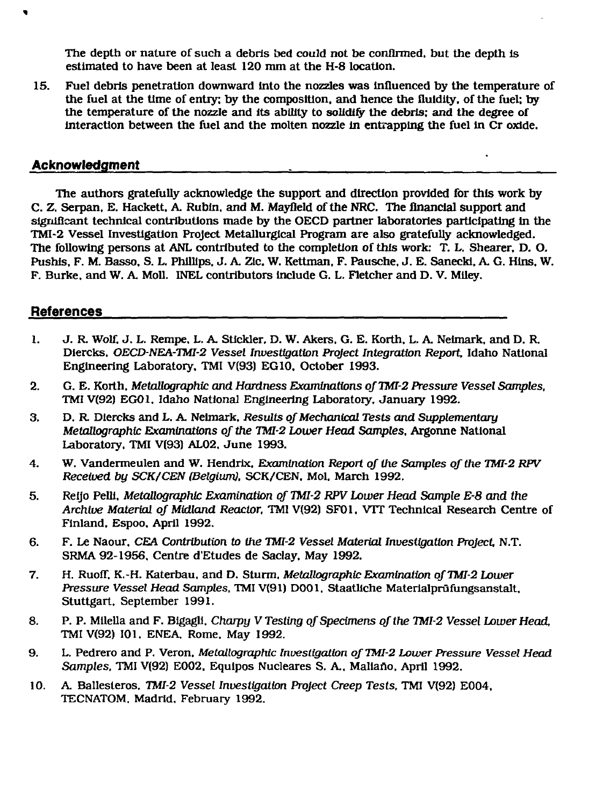The depth or nature of such a debris bed could not be confirmed, but the depth Is estimated to have been at least 120 mm at the H-8 location.

15. Fuel debris penetration downward into the nozzles was influenced by the temperature of the fuel at the time of entry: by the composition, and hence the fluidity, of the fuel; by the temperature of the nozzle and its ability to solidify the debris; and the degree of interaction between the fuel and the molten nozzle In entrapping the fuel in Cr oxide.

#### **Acknowledgment**

The authors gratefully acknowledge the support and direction provided for this work by C. Z. Serpan, E. Hackett. A. Rubin, and M. Mayfleld of the NRC. The financial support and significant technical contributions made by the OECD partner laboratories participating in the TMI-2 Vessel Investigation Project Metallurgical Program are also gratefully acknowledged. The following persons at ANL contributed to the completion of this work: T. L. Shearer, D. O. Pushls, F. M. Basso. S. L. Phillips. J. A. ZIc. W. Kettman. F. Pausche. J. E. Sanecki. A. G. Hlns. W. F. Burke, and W. A. Moll. INEL contributors include G. L. Fletcher and D. V. Miley.

## **References**

- 1. J. R. Wolf. J. L. Rempe. L. A. Stickler. D. W. Akers. G. E. Korth. L. A. Neimark, and D. R. Diercks. *OECD-NEA-TMI-2 Vessel Investigation Project Integration Report,* Idaho National Engineering Laboratory, TMI V(93) EG 10, October 1993.
- 2. G. E. Korth. *Metallographic and Hardness Examinations of TMI-2 Pressure Vessel Samples,* TMI V(92) EG01. Idaho National Engineering Laboratory. January 1992.
- 3. D. R Diercks and L. A. Neimark, *Results of Mechanical Tests and Supplementary Metallographic Examinations of the TMI-2 Lower Head Samples,* Argonne National Laboratory. TMI V(93) AL02. June 1993.
- 4. W. Vandermeulen and W. Hendrix, *Examination Report of the Samples of the TMI-2 RPV Received by SCK/CEN (Belgium),* SCK/CEN. Mol. March 1992.
- 5. Reijo Pelli. *Metallographic Examination of TMI-2 RPV Lower Head Sample E-8 and the Archive Material, of Midland Reactor,* TMI V(92) SF01, VTT Technical Research Centre of Finland. Espoo. April 1992.
- 6. F. Le Naour. *CEA Contribution to the TMI-2 Vessel Material Investigation Project,* N.T. SRMA 92-1956, Centre d'Etudes de Saclay. May 1992.
- 7. H. Ruoff, K.-H. Katerbau, and D. Sturm. *Metallographic Examination of TMI-2 Lower Pressure* Vessel *Head Samples,* TMI V(91) D001, Staatliche Materialprufungsanstalt. Stuttgart, September 1991.
- 8. P. P. Milella and F. Blgagli, *Charpy V Testing of Specimens of the TMI-2 Vessel Lower Head,* TMI V(92) 101, ENEA, Rome. May 1992.
- 9. L. Pedrero and P. Veron. *Metallographic Investigation of TMI-2 Lower Pressure Vessel Head* Samples. TMI V(92) E002. Equipos Nucleares S. A., Maliaño. April 1992.
- 10. A. Ballesteros, *TMI-2 Vessel Investigation Project Creep Tests,* TMI V(92) E004. TECNATOM. Madrid, February 1992.